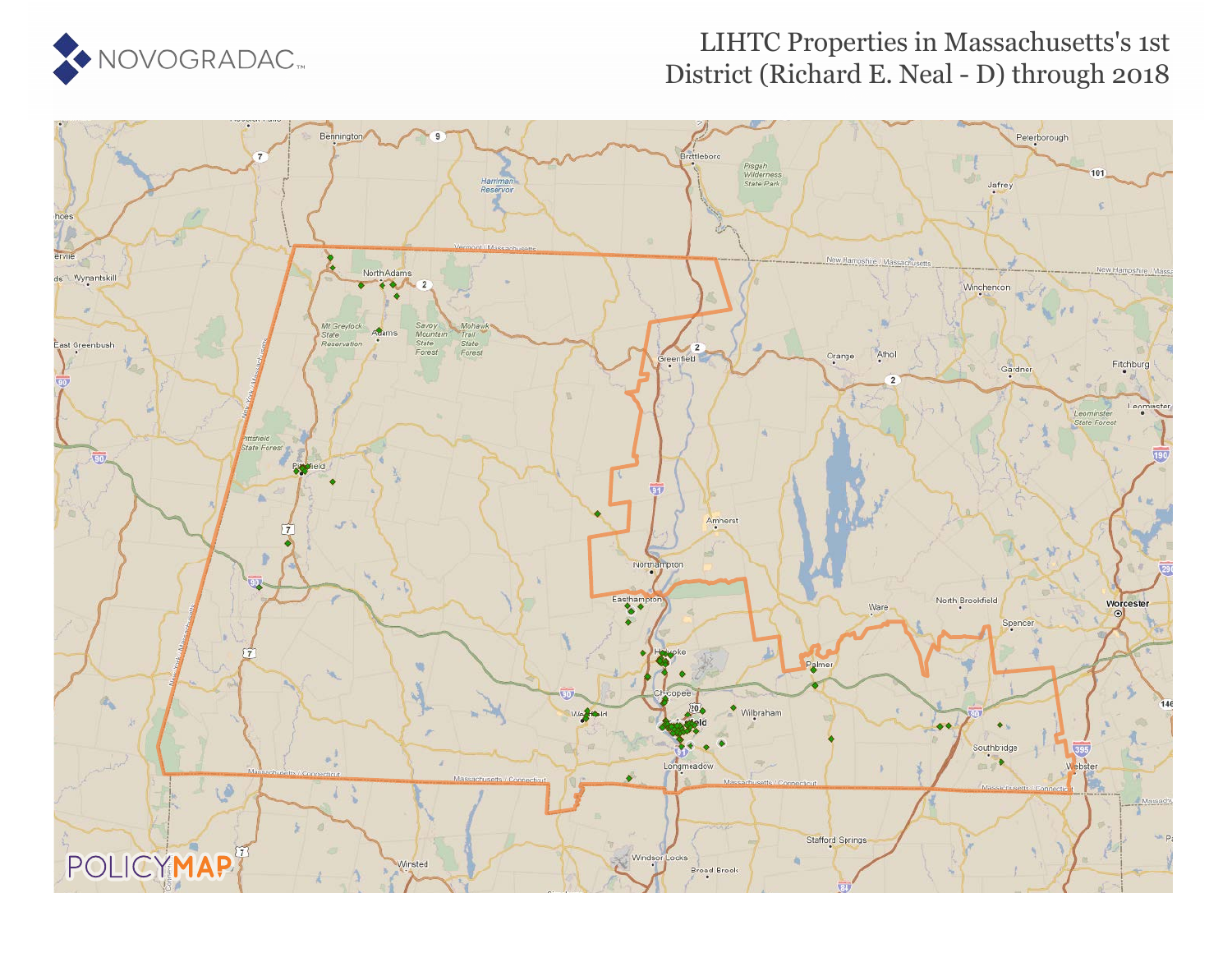

### LIHTC Properties in Massachusetts's 1st District (Richard E. Neal - D) through 2018

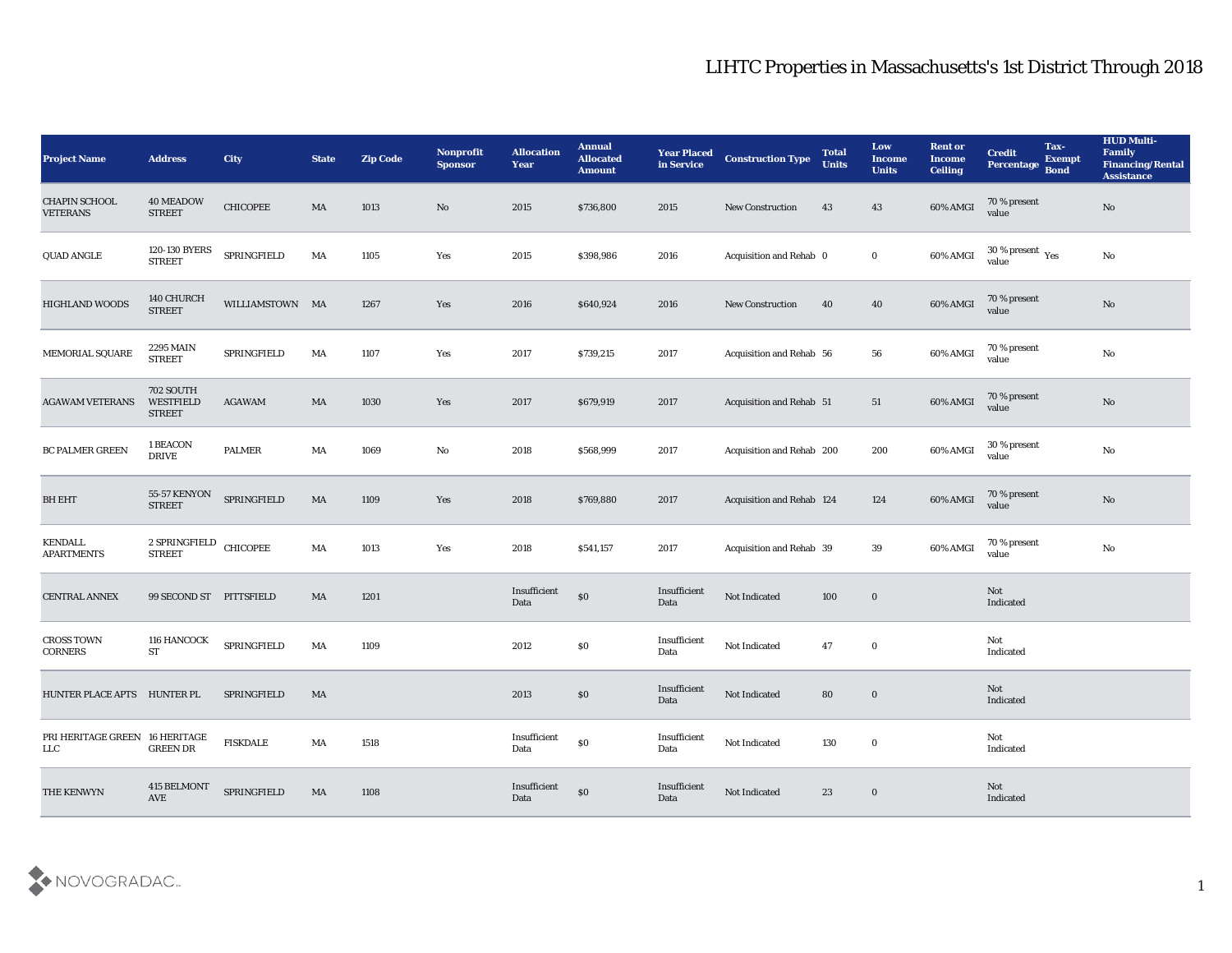| <b>Project Name</b>                           | <b>Address</b>                                 | City            | <b>State</b> | <b>Zip Code</b> | Nonprofit<br><b>Sponsor</b> | <b>Allocation</b><br><b>Year</b> | <b>Annual</b><br><b>Allocated</b><br><b>Amount</b> | <b>Year Placed</b><br>in Service | <b>Construction Type</b>  | <b>Total</b><br><b>Units</b> | Low<br><b>Income</b><br><b>Units</b> | <b>Rent or</b><br>Income<br><b>Ceiling</b> | Tax-<br><b>Credit</b><br><b>Exempt</b><br>Percentage<br><b>Bond</b> | <b>HUD Multi-</b><br>Family<br><b>Financing/Rental</b><br><b>Assistance</b> |
|-----------------------------------------------|------------------------------------------------|-----------------|--------------|-----------------|-----------------------------|----------------------------------|----------------------------------------------------|----------------------------------|---------------------------|------------------------------|--------------------------------------|--------------------------------------------|---------------------------------------------------------------------|-----------------------------------------------------------------------------|
| <b>CHAPIN SCHOOL</b><br><b>VETERANS</b>       | <b>40 MEADOW</b><br><b>STREET</b>              | <b>CHICOPEE</b> | MA           | 1013            | No                          | 2015                             | \$736,800                                          | 2015                             | <b>New Construction</b>   | 43                           | 43                                   | 60% AMGI                                   | 70 % present<br>value                                               | $\mathbf{N}\mathbf{o}$                                                      |
| QUAD ANGLE                                    | 120-130 BYERS<br>STREET                        | SPRINGFIELD     | MA           | 1105            | Yes                         | 2015                             | \$398,986                                          | 2016                             | Acquisition and Rehab 0   |                              | $\bf{0}$                             | 60% AMGI                                   | $30\,\%$ present $\,$ Yes value                                     | $\mathbf{N}\mathbf{o}$                                                      |
| <b>HIGHLAND WOODS</b>                         | 140 CHURCH<br><b>STREET</b>                    | WILLIAMSTOWN MA |              | 1267            | Yes                         | 2016                             | \$640,924                                          | 2016                             | <b>New Construction</b>   | 40                           | 40                                   | 60% AMGI                                   | 70 % present<br>value                                               | $\mathbf{N}\mathbf{o}$                                                      |
| MEMORIAL SQUARE                               | 2295 MAIN<br><b>STREET</b>                     | SPRINGFIELD     | MA           | 1107            | Yes                         | 2017                             | \$739,215                                          | 2017                             | Acquisition and Rehab 56  |                              | 56                                   | 60% AMGI                                   | 70 % present<br>value                                               | $\mathbf{N}\mathbf{o}$                                                      |
| <b>AGAWAM VETERANS</b>                        | <b>702 SOUTH</b><br>WESTFIELD<br><b>STREET</b> | <b>AGAWAM</b>   | MA           | 1030            | Yes                         | 2017                             | \$679,919                                          | 2017                             | Acquisition and Rehab 51  |                              | 51                                   | 60% AMGI                                   | 70 % present<br>value                                               | $\rm \bf No$                                                                |
| BC PALMER GREEN                               | 1 BEACON<br><b>DRIVE</b>                       | <b>PALMER</b>   | MA           | 1069            | No                          | 2018                             | \$568,999                                          | 2017                             | Acquisition and Rehab 200 |                              | 200                                  | 60% AMGI                                   | 30 % present<br>value                                               | $\mathbf{N}\mathbf{o}$                                                      |
| <b>BH EHT</b>                                 | <b>55-57 KENYON</b><br><b>STREET</b>           | SPRINGFIELD     | MA           | 1109            | Yes                         | 2018                             | \$769,880                                          | 2017                             | Acquisition and Rehab 124 |                              | 124                                  | 60% AMGI                                   | 70 % present<br>value                                               | $\mathbf{N}\mathbf{o}$                                                      |
| <b>KENDALL</b><br><b>APARTMENTS</b>           | $2$ SPRINGFIELD CHICOPEE<br><b>STREET</b>      |                 | MA           | 1013            | Yes                         | 2018                             | \$541,157                                          | 2017                             | Acquisition and Rehab 39  |                              | 39                                   | 60% AMGI                                   | 70 % present<br>value                                               | $\mathbf{N}\mathbf{o}$                                                      |
| <b>CENTRAL ANNEX</b>                          | 99 SECOND ST PITTSFIELD                        |                 | MA           | 1201            |                             | Insufficient<br>Data             | $\$0$                                              | Insufficient<br>Data             | Not Indicated             | 100                          | $\bf{0}$                             |                                            | Not<br>Indicated                                                    |                                                                             |
| <b>CROSS TOWN</b><br>CORNERS                  | 116 HANCOCK<br>ST                              | SPRINGFIELD     | MA           | 1109            |                             | 2012                             | \$0                                                | Insufficient<br>Data             | Not Indicated             | 47                           | $\bf{0}$                             |                                            | Not<br>Indicated                                                    |                                                                             |
| HUNTER PLACE APTS HUNTER PL                   |                                                | SPRINGFIELD     | MA           |                 |                             | 2013                             | \$0                                                | Insufficient<br>Data             | Not Indicated             | 80                           | $\bf{0}$                             |                                            | Not<br>Indicated                                                    |                                                                             |
| PRI HERITAGE GREEN 16 HERITAGE<br>${\rm LLC}$ | <b>GREEN DR</b>                                | <b>FISKDALE</b> | MA           | 1518            |                             | Insufficient<br>Data             | $\$0$                                              | Insufficient<br>Data             | Not Indicated             | 130                          | $\bf{0}$                             |                                            | Not<br>Indicated                                                    |                                                                             |
| THE KENWYN                                    | 415 BELMONT<br>AVE                             | SPRINGFIELD     | MA           | 1108            |                             | Insufficient<br>Data             | $\$0$                                              | Insufficient<br>Data             | Not Indicated             | 23                           | $\bf{0}$                             |                                            | Not<br>Indicated                                                    |                                                                             |

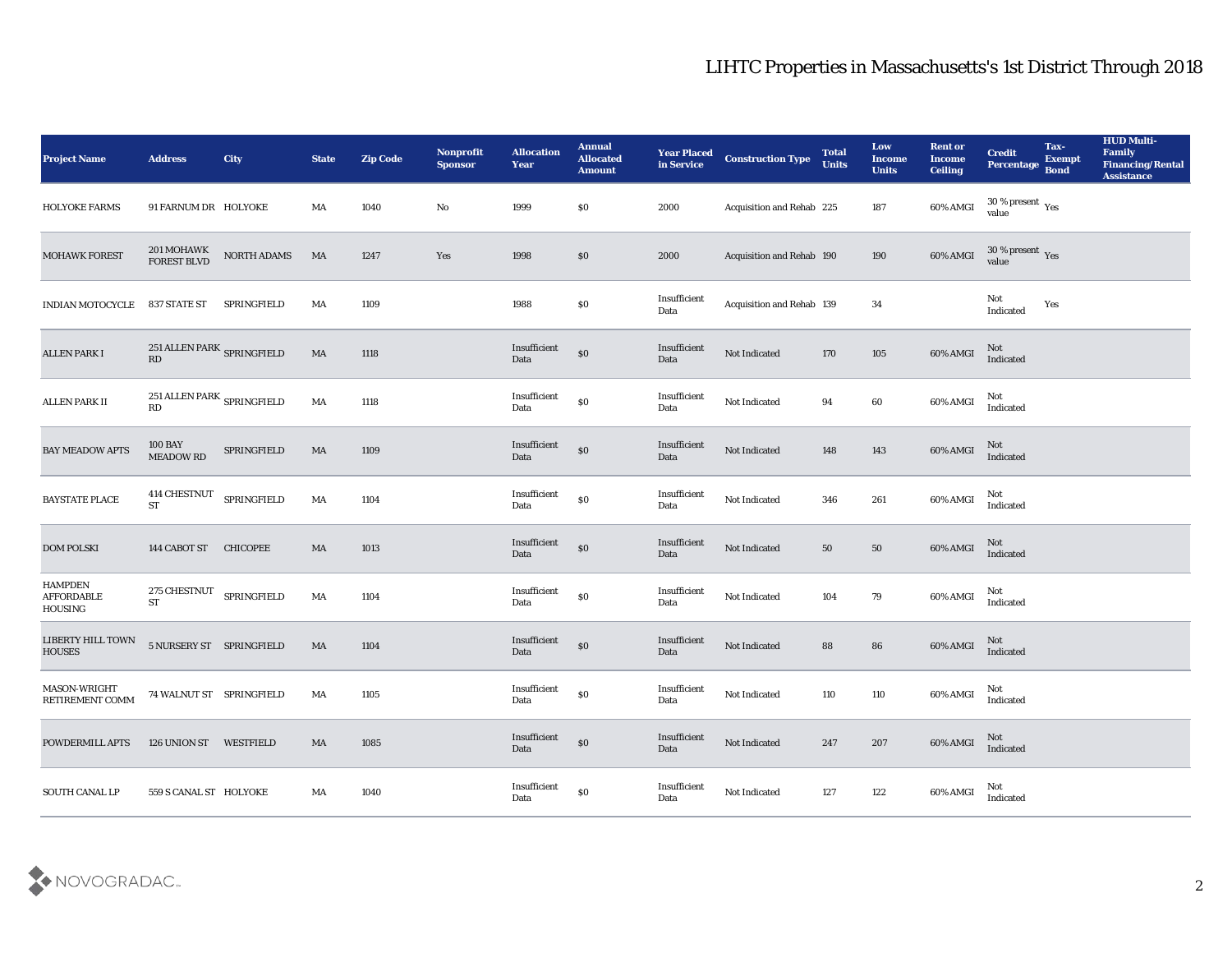| <b>Project Name</b>                     | <b>Address</b>                                           | <b>City</b>     | <b>State</b>           | <b>Zip Code</b> | Nonprofit<br><b>Sponsor</b> | <b>Allocation</b><br><b>Year</b>         | <b>Annual</b><br><b>Allocated</b><br><b>Amount</b> | <b>Year Placed</b><br>in Service | <b>Construction Type</b>  | <b>Total</b><br><b>Units</b> | Low<br>Income<br><b>Units</b> | <b>Rent or</b><br><b>Income</b><br><b>Ceiling</b> | <b>Credit</b><br>Percentage             | Tax-<br><b>Exempt</b><br><b>Bond</b> | <b>HUD Multi-</b><br>Family<br><b>Financing/Rental</b><br><b>Assistance</b> |
|-----------------------------------------|----------------------------------------------------------|-----------------|------------------------|-----------------|-----------------------------|------------------------------------------|----------------------------------------------------|----------------------------------|---------------------------|------------------------------|-------------------------------|---------------------------------------------------|-----------------------------------------|--------------------------------------|-----------------------------------------------------------------------------|
| <b>HOLYOKE FARMS</b>                    | 91 FARNUM DR HOLYOKE                                     |                 | MA                     | 1040            | No                          | 1999                                     | $\$0$                                              | 2000                             | Acquisition and Rehab 225 |                              | 187                           | 60% AMGI                                          | $30\,\%$ present $\,$ Yes value         |                                      |                                                                             |
| <b>MOHAWK FOREST</b>                    | 201 MOHAWK<br>FOREST BLVD                                | NORTH ADAMS     | MA                     | 1247            | Yes                         | 1998                                     | \$0                                                | 2000                             | Acquisition and Rehab 190 |                              | 190                           | 60% AMGI                                          | $30\,\%$ present $\,\mathrm{Yes}$ value |                                      |                                                                             |
| <b>INDIAN MOTOCYCLE</b>                 | 837 STATE ST                                             | SPRINGFIELD     | MA                     | 1109            |                             | 1988                                     | $\$0$                                              | Insufficient<br>Data             | Acquisition and Rehab 139 |                              | 34                            |                                                   | Not<br>Indicated                        | Yes                                  |                                                                             |
| <b>ALLEN PARK I</b>                     | 251 ALLEN PARK SPRINGFIELD<br>RD                         |                 | $\mathbf{M}\mathbf{A}$ | 1118            |                             | Insufficient<br>Data                     | $\boldsymbol{\mathsf{S}}\boldsymbol{\mathsf{O}}$   | Insufficient<br>Data             | Not Indicated             | 170                          | $105\,$                       | 60% AMGI                                          | Not<br>Indicated                        |                                      |                                                                             |
| <b>ALLEN PARK II</b>                    | 251 ALLEN PARK $_{\mbox{\scriptsize SPRINGFIELD}}$<br>RD |                 | MA                     | 1118            |                             | Insufficient<br>Data                     | $\$0$                                              | Insufficient<br>Data             | Not Indicated             | 94                           | 60                            | 60% AMGI                                          | Not<br>Indicated                        |                                      |                                                                             |
| <b>BAY MEADOW APTS</b>                  | <b>100 BAY</b><br><b>MEADOW RD</b>                       | SPRINGFIELD     | MA                     | 1109            |                             | Insufficient<br>Data                     | \$0                                                | Insufficient<br>Data             | Not Indicated             | 148                          | 143                           | 60% AMGI                                          | Not<br>Indicated                        |                                      |                                                                             |
| <b>BAYSTATE PLACE</b>                   | 414 CHESTNUT<br><b>ST</b>                                | SPRINGFIELD     | MA                     | 1104            |                             | $\bold{Insufficient}$<br>Data            | $\$0$                                              | Insufficient<br>Data             | Not Indicated             | 346                          | ${\bf 261}$                   | 60% AMGI                                          | Not<br>Indicated                        |                                      |                                                                             |
| <b>DOM POLSKI</b>                       | 144 CABOT ST                                             | <b>CHICOPEE</b> | MA                     | 1013            |                             | Insufficient<br>Data                     | $\$0$                                              | Insufficient<br>Data             | Not Indicated             | 50                           | 50                            | $60\%$ AMGI                                       | Not<br>Indicated                        |                                      |                                                                             |
| <b>HAMPDEN</b><br>AFFORDABLE<br>HOUSING | 275 CHESTNUT<br><b>ST</b>                                | SPRINGFIELD     | MA                     | 1104            |                             | Insufficient<br>Data                     | $\$0$                                              | Insufficient<br>Data             | Not Indicated             | 104                          | 79                            | 60% AMGI                                          | Not<br>Indicated                        |                                      |                                                                             |
| LIBERTY HILL TOWN<br><b>HOUSES</b>      | 5 NURSERY ST SPRINGFIELD                                 |                 | MA                     | 1104            |                             | Insufficient<br>Data                     | $\$0$                                              | Insufficient<br>Data             | Not Indicated             | 88                           | ${\bf 86}$                    | 60% AMGI                                          | Not<br>Indicated                        |                                      |                                                                             |
| MASON-WRIGHT<br>RETIREMENT COMM         | 74 WALNUT ST SPRINGFIELD                                 |                 | MA                     | 1105            |                             | Insufficient<br>Data                     | $\$0$                                              | Insufficient<br>Data             | Not Indicated             | 110                          | 110                           | 60% AMGI                                          | Not<br>Indicated                        |                                      |                                                                             |
| POWDERMILL APTS                         | 126 UNION ST WESTFIELD                                   |                 | MA                     | 1085            |                             | Insufficient<br>Data                     | $\$0$                                              | Insufficient<br>Data             | Not Indicated             | 247                          | 207                           | 60% AMGI                                          | Not<br>Indicated                        |                                      |                                                                             |
| SOUTH CANAL LP                          | 559 S CANAL ST HOLYOKE                                   |                 | MA                     | 1040            |                             | $\bold{Insufficient}$<br>$\mathbf{Data}$ | $\$0$                                              | Insufficient<br>Data             | Not Indicated             | 127                          | $122\,$                       | 60% AMGI                                          | Not<br>Indicated                        |                                      |                                                                             |

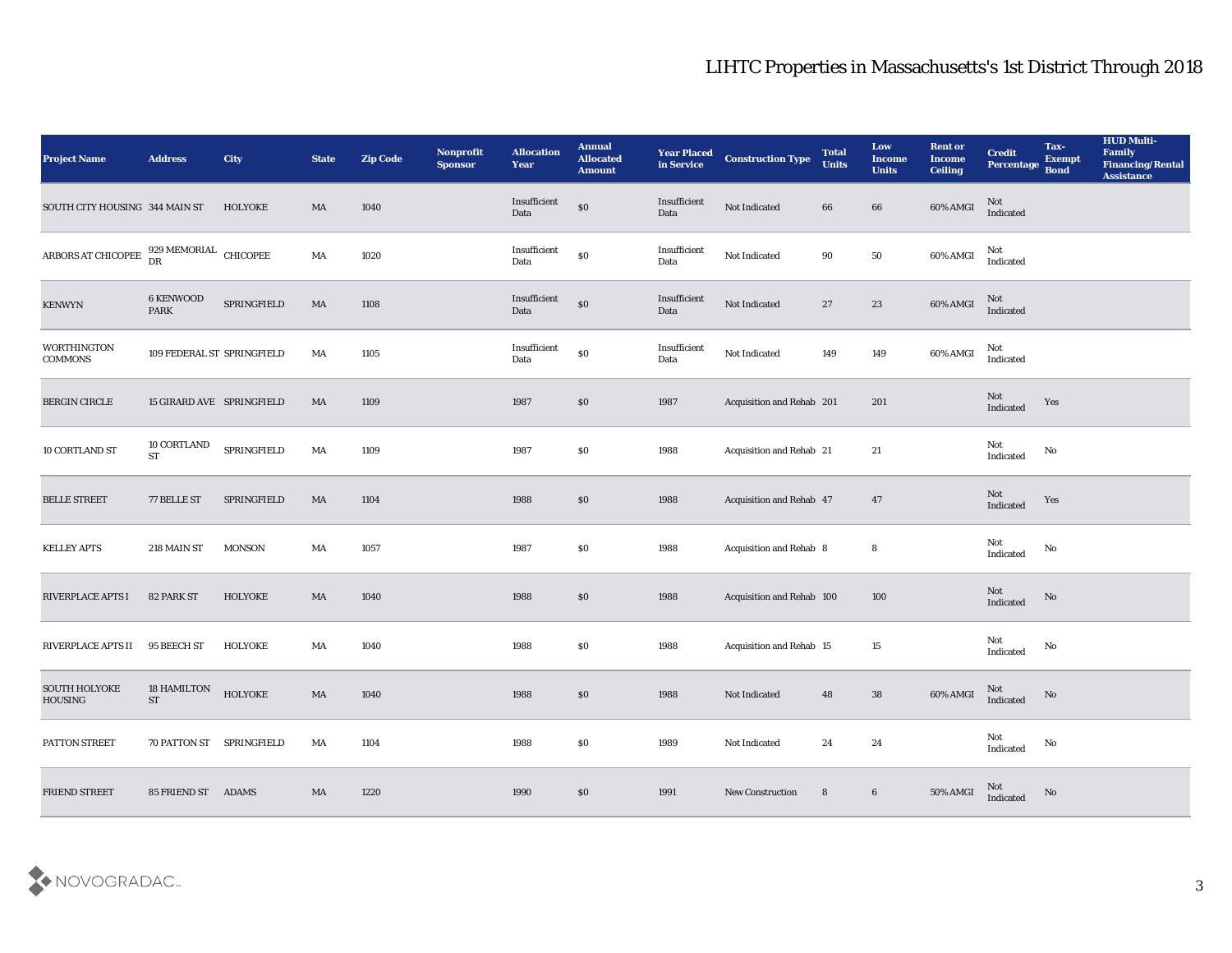| <b>Project Name</b>                                                  | <b>Address</b>                  | <b>City</b>    | <b>State</b> | <b>Zip Code</b> | Nonprofit<br><b>Sponsor</b> | <b>Allocation</b><br>Year | <b>Annual</b><br><b>Allocated</b><br><b>Amount</b> | <b>Year Placed</b><br>in Service | <b>Construction Type</b>       | <b>Total</b><br><b>Units</b> | Low<br><b>Income</b><br><b>Units</b> | <b>Rent or</b><br>Income<br><b>Ceiling</b> | <b>Credit</b><br>Percentage | Tax-<br><b>Exempt</b><br><b>Bond</b> | <b>HUD Multi-</b><br>Family<br><b>Financing/Rental</b><br><b>Assistance</b> |
|----------------------------------------------------------------------|---------------------------------|----------------|--------------|-----------------|-----------------------------|---------------------------|----------------------------------------------------|----------------------------------|--------------------------------|------------------------------|--------------------------------------|--------------------------------------------|-----------------------------|--------------------------------------|-----------------------------------------------------------------------------|
| SOUTH CITY HOUSING 344 MAIN ST                                       |                                 | <b>HOLYOKE</b> | MA           | 1040            |                             | Insufficient<br>Data      | $\$0$                                              | Insufficient<br>Data             | Not Indicated                  | 66                           | 66                                   | 60% AMGI                                   | Not<br>Indicated            |                                      |                                                                             |
| ARBORS AT CHICOPEE $\frac{929 \text{ MEMORIAL}}{\text{DR}}$ CHICOPEE |                                 |                | MA           | 1020            |                             | Insufficient<br>Data      | $\$0$                                              | Insufficient<br>Data             | Not Indicated                  | 90                           | 50                                   | 60% AMGI                                   | Not<br>Indicated            |                                      |                                                                             |
| <b>KENWYN</b>                                                        | <b>6 KENWOOD</b><br><b>PARK</b> | SPRINGFIELD    | MA           | 1108            |                             | Insufficient<br>Data      | $\$0$                                              | Insufficient<br>Data             | Not Indicated                  | 27                           | 23                                   | $60\%$ AMGI                                | Not<br>Indicated            |                                      |                                                                             |
| <b>WORTHINGTON</b><br><b>COMMONS</b>                                 | 109 FEDERAL ST SPRINGFIELD      |                | MA           | 1105            |                             | Insufficient<br>Data      | $\$0$                                              | Insufficient<br>Data             | Not Indicated                  | 149                          | 149                                  | 60% AMGI                                   | Not<br>Indicated            |                                      |                                                                             |
| <b>BERGIN CIRCLE</b>                                                 | 15 GIRARD AVE SPRINGFIELD       |                | MA           | 1109            |                             | 1987                      | \$0                                                | 1987                             | Acquisition and Rehab 201      |                              | 201                                  |                                            | Not<br>Indicated            | Yes                                  |                                                                             |
| 10 CORTLAND ST                                                       | 10 CORTLAND<br><b>ST</b>        | SPRINGFIELD    | MA           | 1109            |                             | 1987                      | \$0                                                | 1988                             | Acquisition and Rehab 21       |                              | 21                                   |                                            | Not<br>Indicated            | No                                   |                                                                             |
| <b>BELLE STREET</b>                                                  | 77 BELLE ST                     | SPRINGFIELD    | MA           | 1104            |                             | 1988                      | \$0                                                | 1988                             | Acquisition and Rehab 47       |                              | 47                                   |                                            | Not<br>Indicated            | Yes                                  |                                                                             |
| <b>KELLEY APTS</b>                                                   | 218 MAIN ST                     | <b>MONSON</b>  | MA           | 1057            |                             | 1987                      | \$0                                                | 1988                             | <b>Acquisition and Rehab 8</b> |                              | 8                                    |                                            | Not<br>Indicated            | No                                   |                                                                             |
| RIVERPLACE APTS I                                                    | 82 PARK ST                      | <b>HOLYOKE</b> | MA           | 1040            |                             | 1988                      | \$0                                                | 1988                             | Acquisition and Rehab 100      |                              | 100                                  |                                            | Not<br>Indicated            | No                                   |                                                                             |
| <b>RIVERPLACE APTS II</b>                                            | 95 BEECH ST                     | <b>HOLYOKE</b> | MA           | 1040            |                             | 1988                      | \$0                                                | 1988                             | Acquisition and Rehab 15       |                              | 15                                   |                                            | Not<br>Indicated            | No                                   |                                                                             |
| <b>SOUTH HOLYOKE</b><br><b>HOUSING</b>                               | <b>18 HAMILTON</b><br><b>ST</b> | <b>HOLYOKE</b> | MA           | 1040            |                             | 1988                      | \$0                                                | 1988                             | Not Indicated                  | 48                           | 38                                   | 60% AMGI                                   | <b>Not</b><br>Indicated     | No                                   |                                                                             |
| PATTON STREET                                                        | 70 PATTON ST SPRINGFIELD        |                | MA           | 1104            |                             | 1988                      | $\$0$                                              | 1989                             | Not Indicated                  | 24                           | 24                                   |                                            | Not<br>Indicated            | $\mathbf {No}$                       |                                                                             |
| <b>FRIEND STREET</b>                                                 | 85 FRIEND ST ADAMS              |                | MA           | 1220            |                             | 1990                      | $\$0$                                              | 1991                             | <b>New Construction</b>        | 8                            | $6\phantom{.0}$                      | 50% AMGI                                   | Not<br>Indicated            | No                                   |                                                                             |

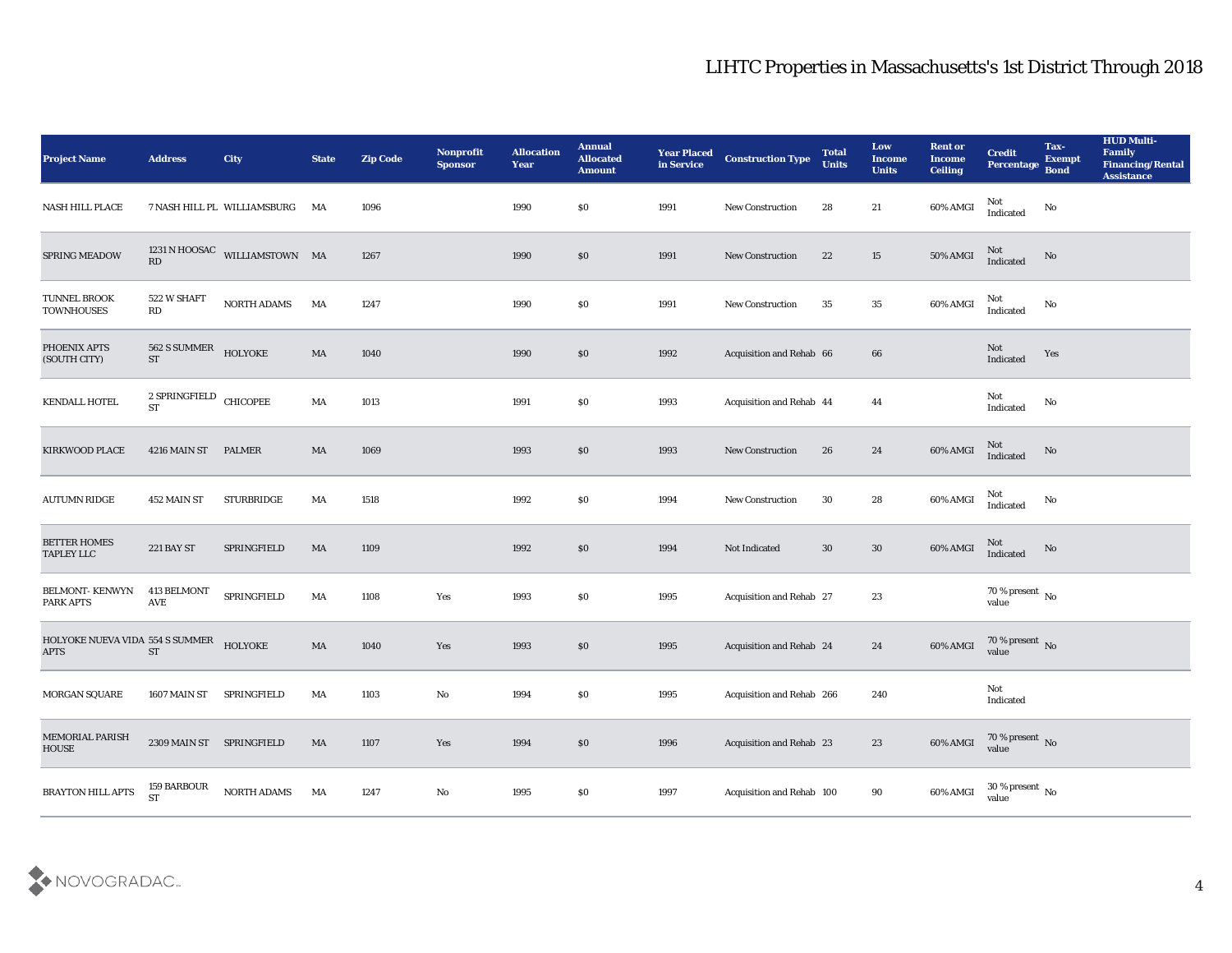| Project Name                                   | <b>Address</b>                                         | <b>City</b>                    | <b>State</b>           | <b>Zip Code</b> | Nonprofit<br><b>Sponsor</b> | <b>Allocation</b><br><b>Year</b> | <b>Annual</b><br><b>Allocated</b><br><b>Amount</b> | <b>Year Placed</b><br>in Service | <b>Construction Type</b>  | <b>Total</b><br><b>Units</b> | Low<br><b>Income</b><br><b>Units</b> | <b>Rent or</b><br><b>Income</b><br><b>Ceiling</b> | <b>Credit</b><br>Percentage        | Tax-<br><b>Exempt</b><br><b>Bond</b> | <b>HUD Multi-</b><br>Family<br><b>Financing/Rental</b><br><b>Assistance</b> |
|------------------------------------------------|--------------------------------------------------------|--------------------------------|------------------------|-----------------|-----------------------------|----------------------------------|----------------------------------------------------|----------------------------------|---------------------------|------------------------------|--------------------------------------|---------------------------------------------------|------------------------------------|--------------------------------------|-----------------------------------------------------------------------------|
| NASH HILL PLACE                                |                                                        | 7 NASH HILL PL WILLIAMSBURG MA |                        | 1096            |                             | 1990                             | $\$0$                                              | 1991                             | New Construction          | 28                           | 21                                   | 60% AMGI                                          | Not<br>Indicated                   | No                                   |                                                                             |
| <b>SPRING MEADOW</b>                           | $\mathbf{R}\mathbf{D}$                                 | 1231 N HOOSAC WILLIAMSTOWN MA  |                        | 1267            |                             | 1990                             | \$0                                                | 1991                             | <b>New Construction</b>   | 22                           | 15                                   | 50% AMGI                                          | Not<br>Indicated                   | No                                   |                                                                             |
| TUNNEL BROOK<br><b>TOWNHOUSES</b>              | 522 W SHAFT<br>RD                                      | NORTH ADAMS                    | MA                     | 1247            |                             | 1990                             | \$0                                                | 1991                             | New Construction          | 35                           | 35                                   | 60% AMGI                                          | Not<br>Indicated                   | $\mathbf{N}\mathbf{o}$               |                                                                             |
| PHOENIX APTS<br>(SOUTH CITY)                   | 562 S SUMMER<br><b>ST</b>                              | HOLYOKE                        | MA                     | 1040            |                             | 1990                             | \$0                                                | 1992                             | Acquisition and Rehab 66  |                              | 66                                   |                                                   | Not<br>Indicated                   | Yes                                  |                                                                             |
| KENDALL HOTEL                                  | $\sqrt{2}$ SPRINGFIELD CHICOPEE<br>$\operatorname{ST}$ |                                | MA                     | 1013            |                             | 1991                             | \$0                                                | 1993                             | Acquisition and Rehab 44  |                              | 44                                   |                                                   | Not<br>$\operatorname{Indicated}$  | No                                   |                                                                             |
| <b>KIRKWOOD PLACE</b>                          | 4216 MAIN ST                                           | <b>PALMER</b>                  | MA                     | 1069            |                             | 1993                             | $\$0$                                              | 1993                             | New Construction          | 26                           | 24                                   | 60% AMGI                                          | Not<br>Indicated                   | No                                   |                                                                             |
| <b>AUTUMN RIDGE</b>                            | 452 MAIN ST                                            | <b>STURBRIDGE</b>              | MA                     | 1518            |                             | 1992                             | \$0                                                | 1994                             | New Construction          | 30                           | 28                                   | 60% AMGI                                          | Not<br>Indicated                   | $\rm\thinspace No$                   |                                                                             |
| <b>BETTER HOMES</b><br><b>TAPLEY LLC</b>       | <b>221 BAY ST</b>                                      | SPRINGFIELD                    | MA                     | 1109            |                             | 1992                             | $\$0$                                              | 1994                             | Not Indicated             | 30                           | 30                                   | 60% AMGI                                          | Not<br>Indicated                   | No                                   |                                                                             |
| <b>BELMONT-KENWYN</b><br>PARK APTS             | 413 BELMONT<br>AVE                                     | SPRINGFIELD                    | MA                     | 1108            | Yes                         | 1993                             | \$0                                                | 1995                             | Acquisition and Rehab 27  |                              | 23                                   |                                                   | 70 % present No<br>value           |                                      |                                                                             |
| HOLYOKE NUEVA VIDA 554 S SUMMER<br><b>APTS</b> | $\operatorname{ST}$                                    | HOLYOKE                        | $\mathbf{M}\mathbf{A}$ | 1040            | Yes                         | 1993                             | \$0                                                | 1995                             | Acquisition and Rehab 24  |                              | 24                                   | 60% AMGI                                          | $70$ % present $\,$ No $\,$ value  |                                      |                                                                             |
| <b>MORGAN SQUARE</b>                           | 1607 MAIN ST                                           | SPRINGFIELD                    | MA                     | 1103            | No                          | 1994                             | $\$0$                                              | 1995                             | Acquisition and Rehab 266 |                              | 240                                  |                                                   | Not<br>Indicated                   |                                      |                                                                             |
| MEMORIAL PARISH<br><b>HOUSE</b>                | 2309 MAIN ST SPRINGFIELD                               |                                | MA                     | 1107            | Yes                         | 1994                             | $\$0$                                              | 1996                             | Acquisition and Rehab 23  |                              | 23                                   | 60% AMGI                                          | $70$ % present $\,$ No $\,$ value  |                                      |                                                                             |
| BRAYTON HILL APTS                              | 159 BARBOUR<br><b>ST</b>                               | NORTH ADAMS                    | MA                     | 1247            | $\mathbf {No}$              | 1995                             | $\$0$                                              | 1997                             | Acquisition and Rehab 100 |                              | $90\,$                               | 60% AMGI                                          | 30 % present $\,$ No $\,$<br>value |                                      |                                                                             |

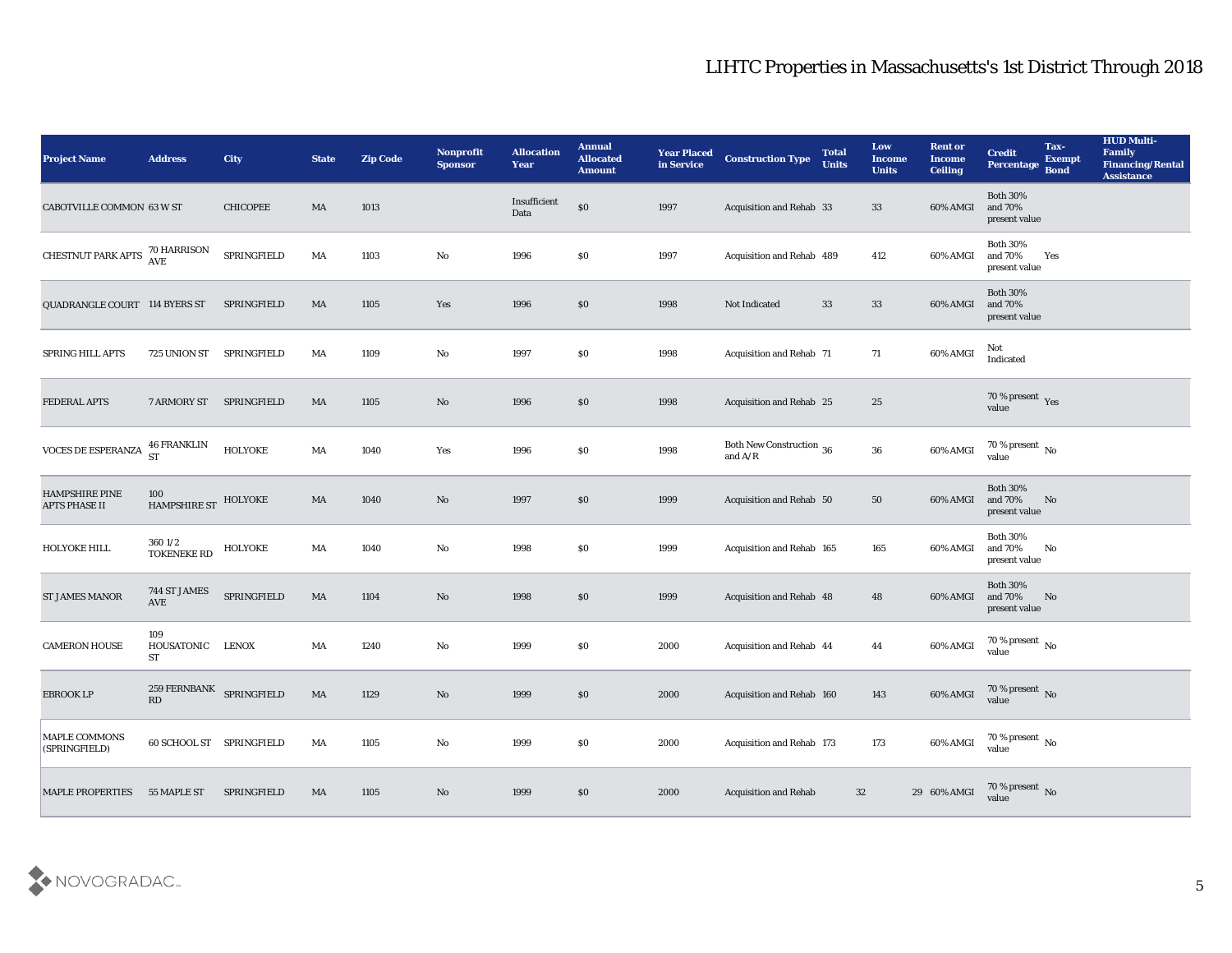| <b>Project Name</b>                    | <b>Address</b>                  | City            | <b>State</b> | <b>Zip Code</b> | Nonprofit<br><b>Sponsor</b> | <b>Allocation</b><br><b>Year</b> | <b>Annual</b><br><b>Allocated</b><br><b>Amount</b> | <b>Year Placed</b><br>in Service | <b>Construction Type</b>                                                          | <b>Total</b><br><b>Units</b> | Low<br><b>Income</b><br><b>Units</b> | <b>Rent or</b><br><b>Income</b><br><b>Ceiling</b> | <b>Credit</b><br><b>Percentage</b>                                                  | Tax-<br><b>Exempt</b><br><b>Bond</b> | <b>HUD Multi-</b><br>Family<br><b>Financing/Rental</b><br><b>Assistance</b> |
|----------------------------------------|---------------------------------|-----------------|--------------|-----------------|-----------------------------|----------------------------------|----------------------------------------------------|----------------------------------|-----------------------------------------------------------------------------------|------------------------------|--------------------------------------|---------------------------------------------------|-------------------------------------------------------------------------------------|--------------------------------------|-----------------------------------------------------------------------------|
| CABOTVILLE COMMON 63 W ST              |                                 | <b>CHICOPEE</b> | MA           | 1013            |                             | Insufficient<br>Data             | \$0                                                | 1997                             | Acquisition and Rehab 33                                                          |                              | 33                                   | 60% AMGI                                          | <b>Both 30%</b><br>and 70%<br>present value                                         |                                      |                                                                             |
| CHESTNUT PARK APTS 70 HARRISON         |                                 | SPRINGFIELD     | MA           | 1103            | No                          | 1996                             | $\$0$                                              | 1997                             | Acquisition and Rehab 489                                                         |                              | 412                                  | 60% AMGI                                          | <b>Both 30%</b><br>and 70%<br>present value                                         | Yes                                  |                                                                             |
| QUADRANGLE COURT 114 BYERS ST          |                                 | SPRINGFIELD     | MA           | 1105            | Yes                         | 1996                             | \$0                                                | 1998                             | Not Indicated                                                                     | 33                           | 33                                   | 60% AMGI                                          | <b>Both 30%</b><br>and 70%<br>present value                                         |                                      |                                                                             |
| SPRING HILL APTS                       | 725 UNION ST                    | SPRINGFIELD     | MA           | 1109            | No                          | 1997                             | \$0                                                | 1998                             | <b>Acquisition and Rehab 71</b>                                                   |                              | 71                                   | 60% AMGI                                          | Not<br>Indicated                                                                    |                                      |                                                                             |
| FEDERAL APTS                           | 7 ARMORY ST                     | SPRINGFIELD     | MA           | 1105            | No                          | 1996                             | \$0                                                | 1998                             | Acquisition and Rehab 25                                                          |                              | 25                                   |                                                   | $70\,\%$ present $\,$ Yes value                                                     |                                      |                                                                             |
| VOCES DE ESPERANZA                     | <b>46 FRANKLIN</b><br><b>ST</b> | HOLYOKE         | MA           | 1040            | Yes                         | 1996                             | \$0                                                | 1998                             | Both New Construction 36<br>and $\ensuremath{\mathrm{A}}/\ensuremath{\mathrm{R}}$ |                              | 36                                   | 60% AMGI                                          | $70\,\%$ present $\,$ No value                                                      |                                      |                                                                             |
| HAMPSHIRE PINE<br><b>APTS PHASE II</b> | 100<br>HAMPSHIRE ST HOLYOKE     |                 | MA           | 1040            | No                          | 1997                             | $\$0$                                              | 1999                             | Acquisition and Rehab 50                                                          |                              | 50                                   | 60% AMGI                                          | <b>Both 30%</b><br>and 70%<br>present value                                         | No                                   |                                                                             |
| HOLYOKE HILL                           | 3601/2<br><b>TOKENEKE RD</b>    | HOLYOKE         | MA           | 1040            | No                          | 1998                             | $\$0$                                              | 1999                             | Acquisition and Rehab 165                                                         |                              | 165                                  | 60% AMGI                                          | <b>Both 30%</b><br>and 70%<br>present value                                         | No                                   |                                                                             |
| ST JAMES MANOR                         | 744 ST JAMES<br>AVE             | SPRINGFIELD     | MA           | 1104            | No                          | 1998                             | $\boldsymbol{\mathsf{S}}\boldsymbol{\mathsf{O}}$   | 1999                             | Acquisition and Rehab 48                                                          |                              | 48                                   | 60% AMGI                                          | <b>Both 30%</b><br>and 70%<br>present value                                         | No                                   |                                                                             |
| <b>CAMERON HOUSE</b>                   | 109<br>HOUSATONIC<br>ST         | <b>LENOX</b>    | MA           | 1240            | No                          | 1999                             | \$0                                                | 2000                             | Acquisition and Rehab 44                                                          |                              | 44                                   | 60% AMGI                                          | $\begin{array}{c} 70\text{ %} \text{present} \\ \text{value} \end{array} \text{No}$ |                                      |                                                                             |
| <b>EBROOK LP</b>                       | 259 FERNBANK SPRINGFIELD<br>RD  |                 | MA           | 1129            | No                          | 1999                             | \$0                                                | 2000                             | Acquisition and Rehab 160                                                         |                              | 143                                  | 60% AMGI                                          | 70 % present No<br>value                                                            |                                      |                                                                             |
| MAPLE COMMONS<br>(SPRINGFIELD)         | 60 SCHOOL ST SPRINGFIELD        |                 | MA           | 1105            | $\rm\thinspace No$          | 1999                             | $\$0$                                              | 2000                             | Acquisition and Rehab 173                                                         |                              | 173                                  | 60% AMGI                                          | $70\,\%$ present $\,$ No value                                                      |                                      |                                                                             |
| <b>MAPLE PROPERTIES</b>                | 55 MAPLE ST                     | SPRINGFIELD     | MA           | $1105\,$        | $\rm\thinspace No$          | 1999                             | $\$0$                                              | 2000                             | <b>Acquisition and Rehab</b>                                                      | 32                           |                                      | 29 60% AMGI                                       | $70\,\%$ present $\,$ No value                                                      |                                      |                                                                             |

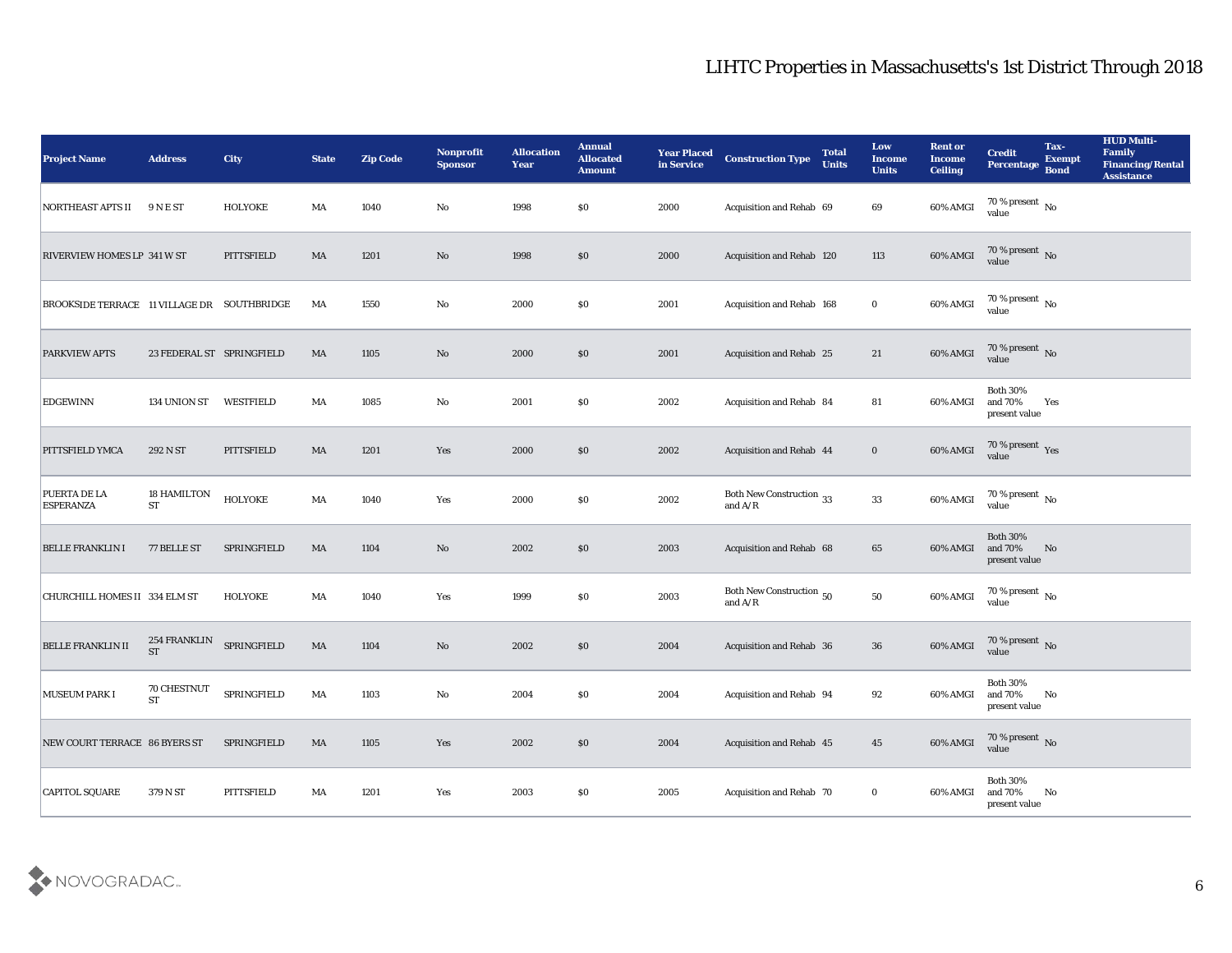| <b>Project Name</b>                         | <b>Address</b>                  | <b>City</b>               | <b>State</b>           | <b>Zip Code</b> | Nonprofit<br><b>Sponsor</b> | <b>Allocation</b><br>Year | <b>Annual</b><br><b>Allocated</b><br><b>Amount</b> | <b>Year Placed</b><br>in Service | <b>Construction Type</b>              | <b>Total</b><br><b>Units</b> | Low<br>Income<br><b>Units</b> | <b>Rent or</b><br><b>Income</b><br><b>Ceiling</b> | <b>Credit</b><br><b>Percentage</b>          | Tax-<br><b>Exempt</b><br><b>Bond</b> | <b>HUD Multi-</b><br><b>Family</b><br><b>Financing/Rental</b><br><b>Assistance</b> |
|---------------------------------------------|---------------------------------|---------------------------|------------------------|-----------------|-----------------------------|---------------------------|----------------------------------------------------|----------------------------------|---------------------------------------|------------------------------|-------------------------------|---------------------------------------------------|---------------------------------------------|--------------------------------------|------------------------------------------------------------------------------------|
| NORTHEAST APTS II                           | <b>9 N E ST</b>                 | <b>HOLYOKE</b>            | MA                     | 1040            | No                          | 1998                      | \$0                                                | 2000                             | Acquisition and Rehab 69              |                              | 69                            | 60% AMGI                                          | 70 % present No<br>value                    |                                      |                                                                                    |
| <b>RIVERVIEW HOMES LP 341 W ST</b>          |                                 | PITTSFIELD                | MA                     | 1201            | No                          | 1998                      | \$0                                                | 2000                             | Acquisition and Rehab 120             |                              | 113                           | 60% AMGI                                          | $70$ % present $\,$ No $\,$ value           |                                      |                                                                                    |
| BROOKSIDE TERRACE 11 VILLAGE DR SOUTHBRIDGE |                                 |                           | MA                     | 1550            | No                          | 2000                      | \$0                                                | 2001                             | Acquisition and Rehab 168             |                              | $\bf{0}$                      | 60% AMGI                                          | 70 % present $\,$ No $\,$<br>value          |                                      |                                                                                    |
| <b>PARKVIEW APTS</b>                        |                                 | 23 FEDERAL ST SPRINGFIELD | $\mathbf{M}\mathbf{A}$ | 1105            | No                          | 2000                      | \$0                                                | 2001                             | <b>Acquisition and Rehab 25</b>       |                              | 21                            | 60% AMGI                                          | $70\,\%$ present $\,$ No value              |                                      |                                                                                    |
| <b>EDGEWINN</b>                             | 134 UNION ST                    | WESTFIELD                 | MA                     | 1085            | No                          | 2001                      | \$0                                                | 2002                             | Acquisition and Rehab 84              |                              | 81                            | 60% AMGI                                          | <b>Both 30%</b><br>and 70%<br>present value | Yes                                  |                                                                                    |
| PITTSFIELD YMCA                             | 292 N ST                        | PITTSFIELD                | MA                     | 1201            | Yes                         | 2000                      | \$0                                                | 2002                             | Acquisition and Rehab 44              |                              | $\mathbf{0}$                  | 60% AMGI                                          | $70\,\%$ present $\,$ Yes value             |                                      |                                                                                    |
| PUERTA DE LA<br><b>ESPERANZA</b>            | <b>18 HAMILTON</b><br><b>ST</b> | <b>HOLYOKE</b>            | MA                     | 1040            | Yes                         | 2000                      | \$0                                                | 2002                             | Both New Construction 33<br>and $A/R$ |                              | $33\,$                        | 60% AMGI                                          | $70\,\% \,present \over value$              |                                      |                                                                                    |
| <b>BELLE FRANKLIN I</b>                     | 77 BELLE ST                     | SPRINGFIELD               | $\mathbf{M}\mathbf{A}$ | 1104            | No                          | 2002                      | \$0                                                | 2003                             | Acquisition and Rehab 68              |                              | 65                            | 60% AMGI                                          | Both $30\%$<br>and 70%<br>present value     | No                                   |                                                                                    |
| CHURCHILL HOMES II 334 ELM ST               |                                 | <b>HOLYOKE</b>            | MA                     | 1040            | Yes                         | 1999                      | \$0                                                | 2003                             | Both New Construction 50<br>and $A/R$ |                              | 50                            | 60% AMGI                                          | 70 % present No<br>value                    |                                      |                                                                                    |
| <b>BELLE FRANKLIN II</b>                    | 254 FRANKLIN<br><b>ST</b>       | SPRINGFIELD               | MA                     | 1104            | $\mathbf{N}\mathbf{o}$      | 2002                      | \$0                                                | 2004                             | Acquisition and Rehab 36              |                              | 36                            | 60% AMGI                                          | $70\,\%$ present $\,$ No value              |                                      |                                                                                    |
| <b>MUSEUM PARK I</b>                        | 70 CHESTNUT<br><b>ST</b>        | SPRINGFIELD               | MA                     | 1103            | No                          | 2004                      | \$0                                                | 2004                             | Acquisition and Rehab 94              |                              | 92                            | 60% AMGI                                          | <b>Both 30%</b><br>and 70%<br>present value | No                                   |                                                                                    |
| NEW COURT TERRACE 86 BYERS ST               |                                 | SPRINGFIELD               | MA                     | 1105            | Yes                         | 2002                      | $\$0$                                              | 2004                             | Acquisition and Rehab 45              |                              | 45                            | 60% AMGI                                          | $70\,\%$ present $\,$ No value              |                                      |                                                                                    |
| <b>CAPITOL SQUARE</b>                       | 379 N ST                        | PITTSFIELD                | $\mathbf{M}\mathbf{A}$ | 1201            | Yes                         | 2003                      | \$0                                                | 2005                             | Acquisition and Rehab 70              |                              | $\bf{0}$                      | 60% AMGI                                          | Both $30\%$<br>and 70%<br>present value     | No                                   |                                                                                    |

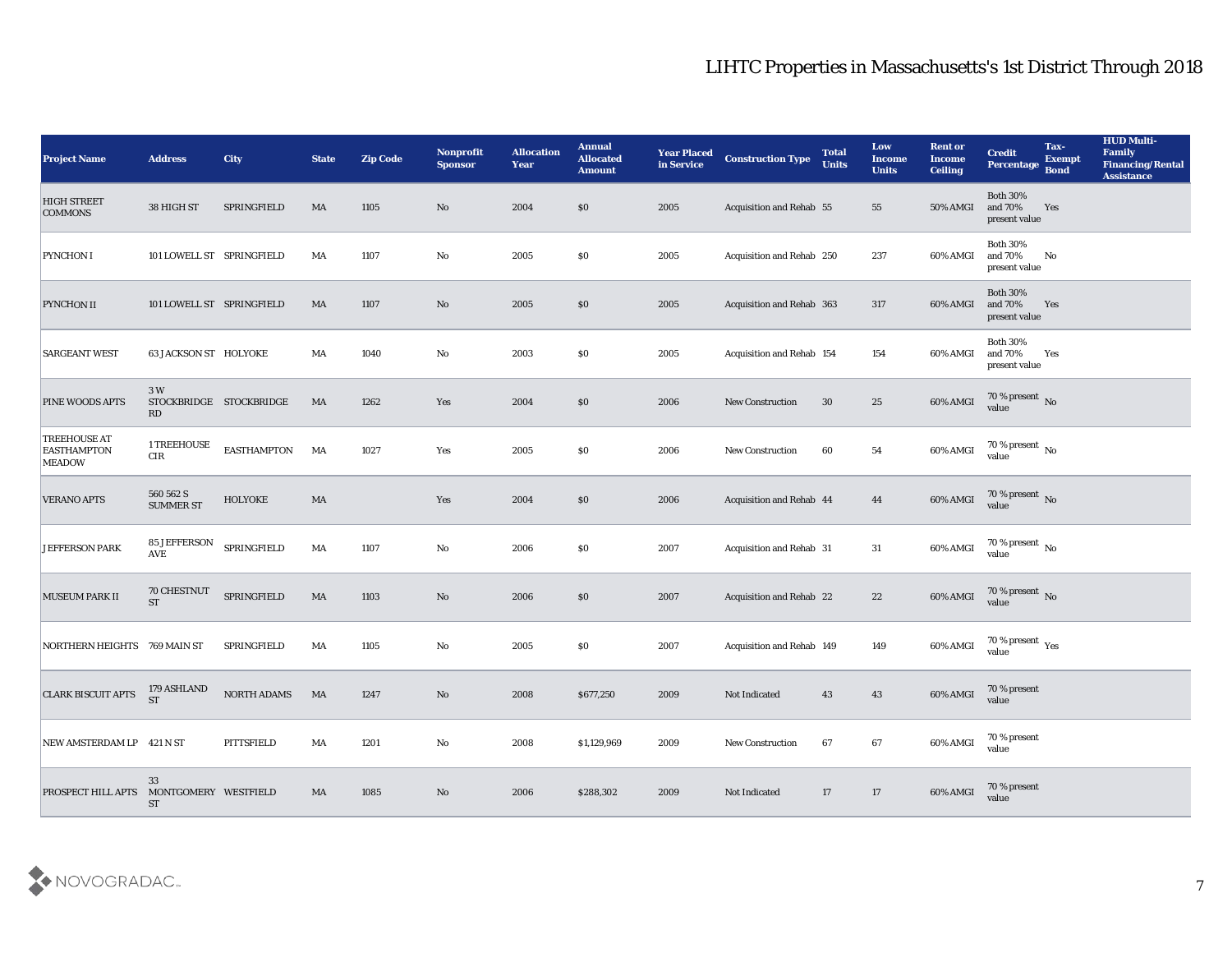| <b>Project Name</b>                                        | <b>Address</b>                | <b>City</b>             | <b>State</b>           | <b>Zip Code</b> | Nonprofit<br><b>Sponsor</b> | <b>Allocation</b><br>Year | <b>Annual</b><br><b>Allocated</b><br><b>Amount</b> | <b>Year Placed</b><br>in Service | <b>Construction Type</b>  | <b>Total</b><br><b>Units</b> | Low<br><b>Income</b><br><b>Units</b> | <b>Rent or</b><br><b>Income</b><br><b>Ceiling</b> | <b>Credit</b><br><b>Percentage</b>          | Tax-<br><b>Exempt</b><br>Bond | <b>HUD Multi-</b><br>Family<br><b>Financing/Rental</b><br><b>Assistance</b> |
|------------------------------------------------------------|-------------------------------|-------------------------|------------------------|-----------------|-----------------------------|---------------------------|----------------------------------------------------|----------------------------------|---------------------------|------------------------------|--------------------------------------|---------------------------------------------------|---------------------------------------------|-------------------------------|-----------------------------------------------------------------------------|
| <b>HIGH STREET</b><br><b>COMMONS</b>                       | 38 HIGH ST                    | SPRINGFIELD             | MA                     | 1105            | No                          | 2004                      | $\$0$                                              | 2005                             | Acquisition and Rehab 55  |                              | 55                                   | <b>50% AMGI</b>                                   | <b>Both 30%</b><br>and 70%<br>present value | Yes                           |                                                                             |
| <b>PYNCHON I</b>                                           | 101 LOWELL ST SPRINGFIELD     |                         | MA                     | 1107            | No                          | 2005                      | $\$0$                                              | 2005                             | Acquisition and Rehab 250 |                              | 237                                  | 60% AMGI                                          | <b>Both 30%</b><br>and 70%<br>present value | No                            |                                                                             |
| <b>PYNCHON II</b>                                          | 101 LOWELL ST SPRINGFIELD     |                         | MA                     | 1107            | No                          | 2005                      | \$0\$                                              | 2005                             | Acquisition and Rehab 363 |                              | 317                                  | 60% AMGI                                          | <b>Both 30%</b><br>and 70%<br>present value | Yes                           |                                                                             |
| <b>SARGEANT WEST</b>                                       | <b>63 JACKSON ST HOLYOKE</b>  |                         | MA                     | 1040            | No                          | 2003                      | \$0\$                                              | 2005                             | Acquisition and Rehab 154 |                              | 154                                  | 60% AMGI                                          | <b>Both 30%</b><br>and 70%<br>present value | Yes                           |                                                                             |
| <b>PINE WOODS APTS</b>                                     | 3 W<br><b>RD</b>              | STOCKBRIDGE STOCKBRIDGE | MA                     | 1262            | Yes                         | 2004                      | \$0\$                                              | 2006                             | <b>New Construction</b>   | 30                           | 25                                   | 60% AMGI                                          | $70\,\%$ present $\,$ No value              |                               |                                                                             |
| <b>TREEHOUSE AT</b><br><b>EASTHAMPTON</b><br><b>MEADOW</b> | 1 TREEHOUSE<br>CIR            | <b>EASTHAMPTON</b>      | MA                     | 1027            | Yes                         | 2005                      | \$0\$                                              | 2006                             | <b>New Construction</b>   | 60                           | 54                                   | 60% AMGI                                          | $70\,\%$ present $\,$ No value              |                               |                                                                             |
| <b>VERANO APTS</b>                                         | 560 562 S<br><b>SUMMER ST</b> | HOLYOKE                 | MA                     |                 | Yes                         | 2004                      | $\$0$                                              | 2006                             | Acquisition and Rehab 44  |                              | 44                                   | 60% AMGI                                          | $70\%$ present No<br>value                  |                               |                                                                             |
| <b>JEFFERSON PARK</b>                                      | 85 JEFFERSON<br><b>AVE</b>    | SPRINGFIELD             | MA                     | 1107            | No                          | 2006                      | $\$0$                                              | 2007                             | Acquisition and Rehab 31  |                              | 31                                   | 60% AMGI                                          | $70\,\%$ present $\,$ No value              |                               |                                                                             |
| MUSEUM PARK II                                             | 70 CHESTNUT<br><b>ST</b>      | SPRINGFIELD             | MA                     | 1103            | No                          | 2006                      | \$0\$                                              | 2007                             | Acquisition and Rehab 22  |                              | 22                                   | 60% AMGI                                          | $70\,\%$ present $\,$ No value              |                               |                                                                             |
| NORTHERN HEIGHTS 769 MAIN ST                               |                               | SPRINGFIELD             | MA                     | 1105            | No                          | 2005                      | $\$0$                                              | 2007                             | Acquisition and Rehab 149 |                              | 149                                  | 60% AMGI                                          | $70\,\%$ present $\,$ Yes value             |                               |                                                                             |
| <b>CLARK BISCUIT APTS</b>                                  | 179 ASHLAND<br><b>ST</b>      | NORTH ADAMS             | MA                     | 1247            | No                          | 2008                      | \$677,250                                          | 2009                             | Not Indicated             | 43                           | 43                                   | 60% AMGI                                          | 70 % present<br>value                       |                               |                                                                             |
| NEW AMSTERDAM LP 421 N ST                                  |                               | PITTSFIELD              | MA                     | 1201            | $\rm\thinspace No$          | 2008                      | \$1,129,969                                        | 2009                             | <b>New Construction</b>   | 67                           | 67                                   | 60% AMGI                                          | 70 % present<br>value                       |                               |                                                                             |
| PROSPECT HILL APTS MONTGOMERY WESTFIELD                    | 33<br>${\rm ST}$              |                         | $\mathbf{M}\mathbf{A}$ | 1085            | $\mathbf {No}$              | 2006                      | \$288,302                                          | 2009                             | Not Indicated             | 17                           | 17                                   | 60% AMGI                                          | 70 % present<br>value                       |                               |                                                                             |

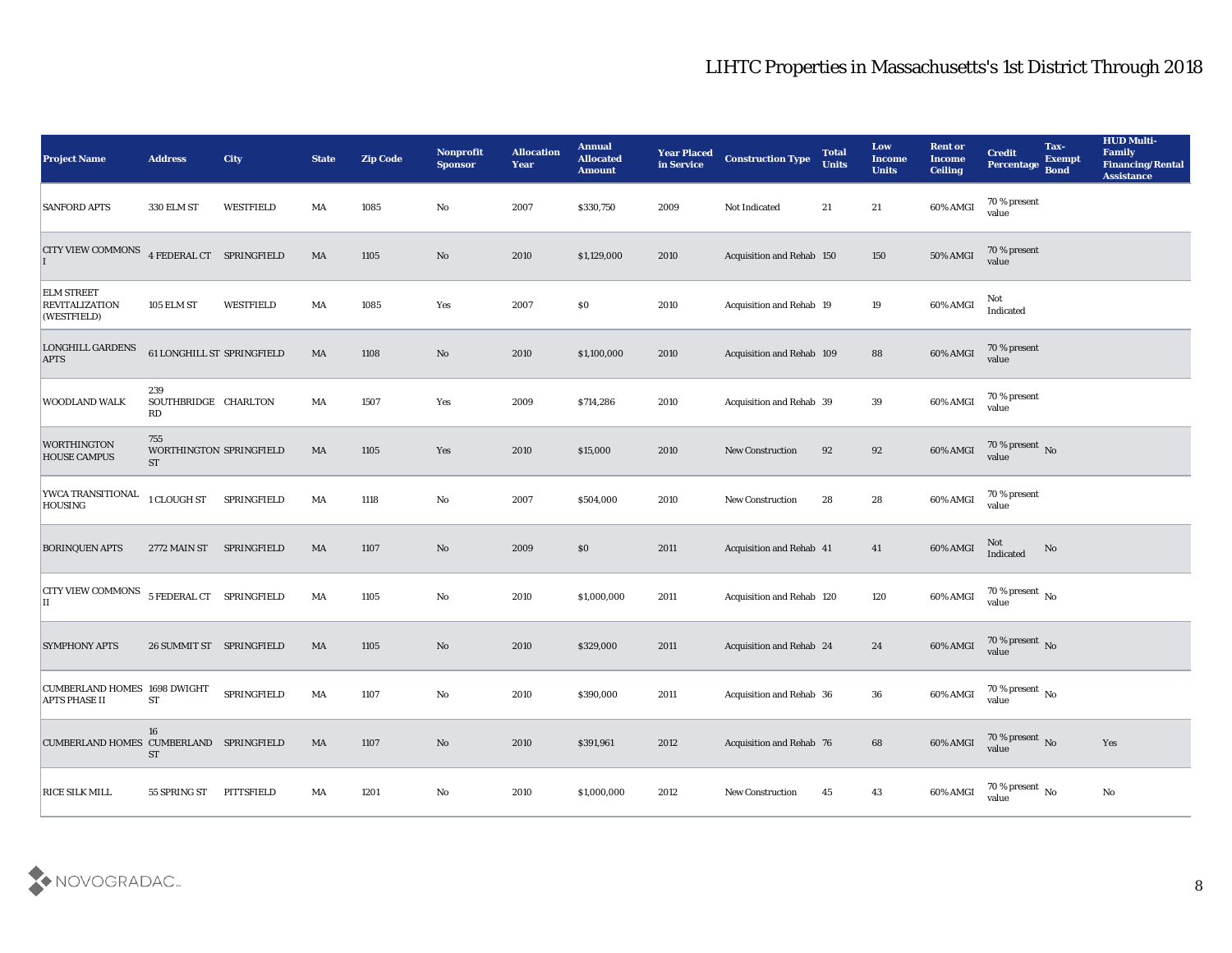| <b>Project Name</b>                                         | <b>Address</b>                              | <b>City</b> | <b>State</b>           | <b>Zip Code</b> | <b>Nonprofit</b><br><b>Sponsor</b> | <b>Allocation</b><br><b>Year</b> | <b>Annual</b><br><b>Allocated</b><br><b>Amount</b> | <b>Year Placed</b><br>in Service | <b>Construction Type</b>  | <b>Total</b><br><b>Units</b> | Low<br>Income<br><b>Units</b> | <b>Rent or</b><br><b>Income</b><br><b>Ceiling</b> | <b>Credit</b><br>Percentage        | Tax-<br><b>Exempt</b><br><b>Bond</b> | <b>HUD Multi-</b><br>Family<br><b>Financing/Rental</b><br><b>Assistance</b> |
|-------------------------------------------------------------|---------------------------------------------|-------------|------------------------|-----------------|------------------------------------|----------------------------------|----------------------------------------------------|----------------------------------|---------------------------|------------------------------|-------------------------------|---------------------------------------------------|------------------------------------|--------------------------------------|-----------------------------------------------------------------------------|
| <b>SANFORD APTS</b>                                         | 330 ELM ST                                  | WESTFIELD   | MA                     | 1085            | No                                 | 2007                             | \$330,750                                          | 2009                             | Not Indicated             | 21                           | 21                            | 60% AMGI                                          | 70 % present<br>value              |                                      |                                                                             |
| <b>CITY VIEW COMMONS</b>                                    | 4 FEDERAL CT SPRINGFIELD                    |             | MA                     | 1105            | No                                 | 2010                             | \$1,129,000                                        | 2010                             | Acquisition and Rehab 150 |                              | 150                           | 50% AMGI                                          | 70 % present<br>value              |                                      |                                                                             |
| <b>ELM STREET</b><br><b>REVITALIZATION</b><br>(WESTFIELD)   | 105 ELM ST                                  | WESTFIELD   | MA                     | 1085            | Yes                                | 2007                             | $\$0$                                              | 2010                             | Acquisition and Rehab 19  |                              | 19                            | 60% AMGI                                          | Not<br>Indicated                   |                                      |                                                                             |
| <b>LONGHILL GARDENS</b><br><b>APTS</b>                      | 61 LONGHILL ST SPRINGFIELD                  |             | MA                     | 1108            | No                                 | 2010                             | \$1,100,000                                        | 2010                             | Acquisition and Rehab 109 |                              | 88                            | 60% AMGI                                          | 70 % present<br>value              |                                      |                                                                             |
| WOODLAND WALK                                               | 239<br>SOUTHBRIDGE CHARLTON<br>RD           |             | MA                     | 1507            | Yes                                | 2009                             | \$714,286                                          | 2010                             | Acquisition and Rehab 39  |                              | 39                            | 60% AMGI                                          | 70 % present<br>value              |                                      |                                                                             |
| WORTHINGTON<br><b>HOUSE CAMPUS</b>                          | 755<br>WORTHINGTON SPRINGFIELD<br><b>ST</b> |             | MA                     | 1105            | Yes                                | 2010                             | \$15,000                                           | 2010                             | New Construction          | 92                           | 92                            | 60% AMGI                                          | $70\,\%$ present $\,$ No value     |                                      |                                                                             |
| YWCA TRANSITIONAL<br><b>HOUSING</b>                         | 1 CLOUGH ST                                 | SPRINGFIELD | MA                     | 1118            | No                                 | 2007                             | \$504,000                                          | 2010                             | <b>New Construction</b>   | 28                           | 28                            | 60% AMGI                                          | 70 % present<br>value              |                                      |                                                                             |
| <b>BORINQUEN APTS</b>                                       | 2772 MAIN ST                                | SPRINGFIELD | MA                     | 1107            | No                                 | 2009                             | \$0                                                | 2011                             | Acquisition and Rehab 41  |                              | 41                            | 60% AMGI                                          | Not<br>Indicated                   | No                                   |                                                                             |
| <b>CITY VIEW COMMONS</b><br>П                               | 5 FEDERAL CT SPRINGFIELD                    |             | MA                     | 1105            | No                                 | 2010                             | \$1,000,000                                        | 2011                             | Acquisition and Rehab 120 |                              | 120                           | 60% AMGI                                          | 70 % present No<br>value           |                                      |                                                                             |
| <b>SYMPHONY APTS</b>                                        | 26 SUMMIT ST SPRINGFIELD                    |             | MA                     | 1105            | No                                 | 2010                             | \$329,000                                          | 2011                             | Acquisition and Rehab 24  |                              | 24                            | 60% AMGI                                          | $70\,\%$ present $\,$ No value     |                                      |                                                                             |
| <b>CUMBERLAND HOMES 1698 DWIGHT</b><br><b>APTS PHASE II</b> | <b>ST</b>                                   | SPRINGFIELD | MA                     | 1107            | No                                 | 2010                             | \$390,000                                          | 2011                             | Acquisition and Rehab 36  |                              | 36                            | 60% AMGI                                          | 70 % present $\,$ No $\,$<br>value |                                      |                                                                             |
| CUMBERLAND HOMES CUMBERLAND SPRINGFIELD                     | 16<br>$\operatorname{ST}$                   |             | $\mathbf{M}\mathbf{A}$ | 1107            | $\rm\thinspace No$                 | 2010                             | \$391,961                                          | 2012                             | Acquisition and Rehab 76  |                              | 68                            | 60% AMGI                                          | $70$ % present $\,$ No $\,$ value  |                                      | Yes                                                                         |
| RICE SILK MILL                                              | 55 SPRING ST                                | PITTSFIELD  | MA                     | 1201            | $\mathbf {No}$                     | 2010                             | \$1,000,000                                        | 2012                             | New Construction          | 45                           | 43                            | 60% AMGI                                          | 70 % present $\,$ No $\,$<br>value |                                      | $\rm\thinspace No$                                                          |

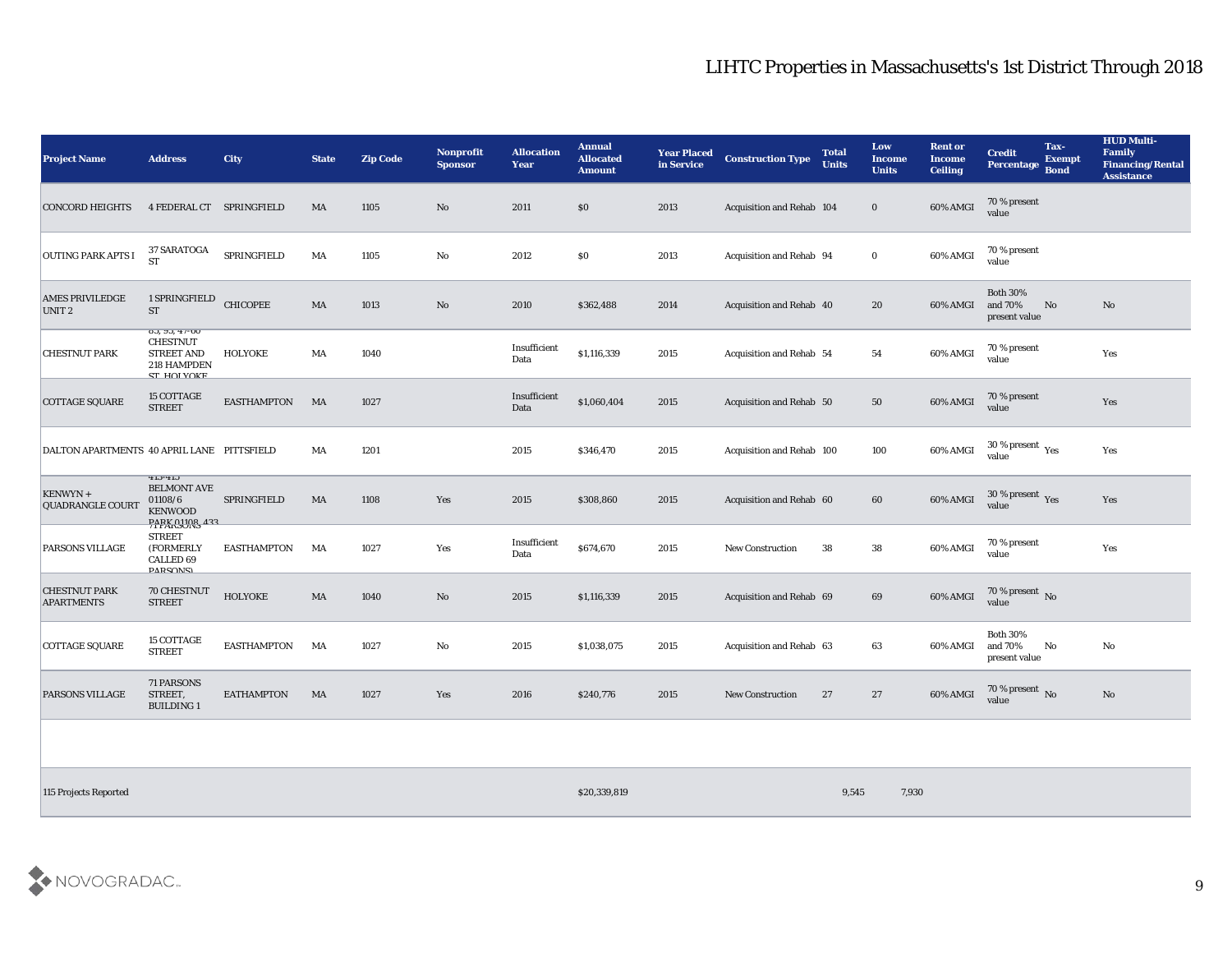| <b>Project Name</b>                        | <b>Address</b>                                                                                  | <b>City</b>        | <b>State</b> | <b>Zip Code</b> | <b>Nonprofit</b><br><b>Sponsor</b> | <b>Allocation</b><br><b>Year</b> | <b>Annual</b><br><b>Allocated</b><br><b>Amount</b> | <b>Year Placed</b><br>in Service | <b>Construction Type</b>        | <b>Total</b><br><b>Units</b> | Low<br><b>Income</b><br><b>Units</b> | <b>Rent or</b><br><b>Income</b><br><b>Ceiling</b> | <b>Credit</b><br><b>Percentage</b>          | Tax-<br><b>Exempt</b><br><b>Bond</b> | <b>HUD Multi-</b><br>Family<br><b>Financing/Rental</b><br><b>Assistance</b> |
|--------------------------------------------|-------------------------------------------------------------------------------------------------|--------------------|--------------|-----------------|------------------------------------|----------------------------------|----------------------------------------------------|----------------------------------|---------------------------------|------------------------------|--------------------------------------|---------------------------------------------------|---------------------------------------------|--------------------------------------|-----------------------------------------------------------------------------|
| <b>CONCORD HEIGHTS</b>                     | 4 FEDERAL CT SPRINGFIELD                                                                        |                    | MA           | 1105            | No                                 | 2011                             | $\$0$                                              | 2013                             | Acquisition and Rehab 104       |                              | $\bf{0}$                             | 60% AMGI                                          | 70 % present<br>value                       |                                      |                                                                             |
| <b>OUTING PARK APTS I</b>                  | 37 SARATOGA<br><b>ST</b>                                                                        | SPRINGFIELD        | MA           | 1105            | $\mathbf{N}\mathbf{o}$             | 2012                             | \$0                                                | 2013                             | Acquisition and Rehab 94        |                              | $\bf{0}$                             | 60% AMGI                                          | 70 % present<br>value                       |                                      |                                                                             |
| <b>AMES PRIVILEDGE</b><br>UNIT 2           | 1 SPRINGFIELD<br><b>ST</b>                                                                      | <b>CHICOPEE</b>    | MA           | 1013            | $\mathbf{N}\mathbf{o}$             | 2010                             | \$362,488                                          | 2014                             | Acquisition and Rehab 40        |                              | 20                                   | 60% AMGI                                          | <b>Both 30%</b><br>and 70%<br>present value | No                                   | $\mathbf{N}\mathbf{o}$                                                      |
| <b>CHESTNUT PARK</b>                       | $03, 93, 41 - 00$<br><b>CHESTNUT</b><br><b>STREET AND</b><br>218 HAMPDEN<br><b>CT LIOI VOKE</b> | HOLYOKE            | MA           | 1040            |                                    | Insufficient<br>Data             | \$1,116,339                                        | 2015                             | <b>Acquisition and Rehab 54</b> |                              | 54                                   | 60% AMGI                                          | 70 % present<br>value                       |                                      | Yes                                                                         |
| COTTAGE SQUARE                             | 15 COTTAGE<br><b>STREET</b>                                                                     | <b>EASTHAMPTON</b> | MA           | 1027            |                                    | Insufficient<br>Data             | \$1,060,404                                        | 2015                             | Acquisition and Rehab 50        |                              | 50                                   | 60% AMGI                                          | 70 % present<br>value                       |                                      | Yes                                                                         |
| DALTON APARTMENTS 40 APRIL LANE PITTSFIELD |                                                                                                 |                    | MA           | 1201            |                                    | 2015                             | \$346,470                                          | 2015                             | Acquisition and Rehab 100       |                              | 100                                  | 60% AMGI                                          | 30 % present $\gamma_{\rm e s}$<br>value    |                                      | Yes                                                                         |
| KENWYN +<br><b>QUADRANGLE COURT</b>        | 413-413<br><b>BELMONT AVE</b><br>01108/6<br><b>KENWOOD</b><br><b>DADY 01108 422</b>             | SPRINGFIELD        | MA           | 1108            | Yes                                | 2015                             | \$308,860                                          | 2015                             | Acquisition and Rehab 60        |                              | 60                                   | 60% AMGI                                          | $30\,\%$ present $\,$ Yes value             |                                      | Yes                                                                         |
| PARSONS VILLAGE                            | <b>STREET</b><br>(FORMERLY<br><b>CALLED 69</b><br><b>DADCOMCI</b>                               | <b>EASTHAMPTON</b> | MA           | 1027            | Yes                                | Insufficient<br>Data             | \$674,670                                          | 2015                             | New Construction                | 38                           | 38                                   | 60% AMGI                                          | 70 % present<br>value                       |                                      | Yes                                                                         |
| <b>CHESTNUT PARK</b><br><b>APARTMENTS</b>  | <b>70 CHESTNUT</b><br><b>STREET</b>                                                             | <b>HOLYOKE</b>     | $\rm MA$     | 1040            | No                                 | 2015                             | \$1,116,339                                        | 2015                             | Acquisition and Rehab 69        |                              | 69                                   | 60% AMGI                                          | $70\,\%$ present $\,$ No value              |                                      |                                                                             |
| <b>COTTAGE SQUARE</b>                      | 15 COTTAGE<br><b>STREET</b>                                                                     | <b>EASTHAMPTON</b> | MA           | 1027            | $\mathbf{N}\mathbf{o}$             | 2015                             | \$1,038,075                                        | 2015                             | Acquisition and Rehab 63        |                              | 63                                   | 60% AMGI                                          | <b>Both 30%</b><br>and 70%<br>present value | No                                   | $\mathbf{N}\mathbf{o}$                                                      |
| <b>PARSONS VILLAGE</b>                     | 71 PARSONS<br>STREET,<br><b>BUILDING1</b>                                                       | <b>EATHAMPTON</b>  | MA           | 1027            | Yes                                | 2016                             | \$240,776                                          | 2015                             | <b>New Construction</b>         | 27                           | 27                                   | 60% AMGI                                          | $70\,\%$ present $\,$ No value              |                                      | $\mathbf{N}\mathbf{o}$                                                      |
|                                            |                                                                                                 |                    |              |                 |                                    |                                  |                                                    |                                  |                                 |                              |                                      |                                                   |                                             |                                      |                                                                             |

115 Projects Reported 8.545 7,930